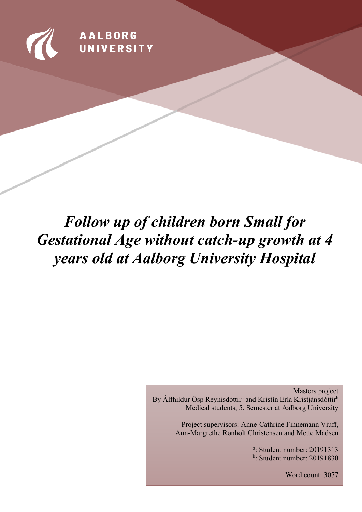

**AALBORG** UNIVERSITY

# *Follow up of children born Small for Gestational Age without catch-up growth at 4 years old at Aalborg University Hospital*

Masters project By Álfhildur Ösp Reynisdóttir<sup>a</sup> and Kristín Erla Kristjánsdóttir<sup>b</sup> Medical students, 5. Semester at Aalborg University

> Project supervisors: Anne-Cathrine Finnemann Viuff, Ann-Margrethe Rønholt Christensen and Mette Madsen

> > a : Student number: 20191313 b : Student number: 20191830

> > > Word count: 3077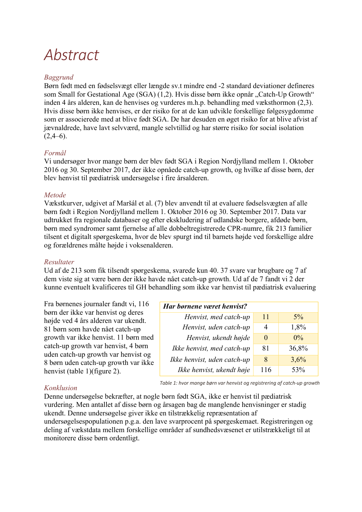# *Abstract*

#### *Baggrund*

Børn født med en fødselsvægt eller længde sv.t mindre end -2 standard deviationer defineres som Small for Gestational Age (SGA) (1,2). Hvis disse børn ikke opnår "Catch-Up Growth" inden 4 års alderen, kan de henvises og vurderes m.h.p. behandling med væksthormon (2,3). Hvis disse børn ikke henvises, er der risiko for at de kan udvikle forskellige følgesygdomme som er associerede med at blive født SGA. De har desuden en øget risiko for at blive afvist af jævnaldrede, have lavt selvværd, mangle selvtillid og har større risiko for social isolation  $(2,4–6)$ .

#### *Formål*

Vi undersøger hvor mange børn der blev født SGA i Region Nordjylland mellem 1. Oktober 2016 og 30. September 2017, der ikke opnåede catch-up growth, og hvilke af disse børn, der blev henvist til pædiatrisk undersøgelse i fire årsalderen.

#### *Metode*

Vækstkurver, udgivet af Maršál et al. (7) blev anvendt til at evaluere fødselsvægten af alle børn født i Region Nordjylland mellem 1. Oktober 2016 og 30. September 2017. Data var udtrukket fra regionale databaser og efter ekskludering af udlandske borgere, afdøde børn, børn med syndromer samt fjernelse af alle dobbeltregistrerede CPR-numre, fik 213 familier tilsent et digitalt spørgeskema, hvor de blev spurgt ind til barnets højde ved forskellige aldre og forældrenes målte højde i voksenalderen.

#### *Resultater*

Ud af de 213 som fik tilsendt spørgeskema, svarede kun 40. 37 svare var brugbare og 7 af dem viste sig at være børn der ikke havde nået catch-up growth. Ud af de 7 fandt vi 2 der kunne eventuelt kvalificeres til GH behandling som ikke var henvist til pædiatrisk evaluering

Fra børnenes journaler fandt vi, 116 børn der ikke var henvist og deres højde ved 4 års alderen var ukendt. 81 børn som havde nået catch-up growth var ikke henvist. 11 børn med catch-up growth var henvist, 4 børn uden catch-up growth var henvist og 8 børn uden catch-up growth var ikke henvist (table 1)(figure 2).

| Har børnene været henvist?  |          |       |  |  |  |
|-----------------------------|----------|-------|--|--|--|
| Henvist, med catch-up       | 11       | $5\%$ |  |  |  |
| Henvist, uden catch-up      | 4        | 1,8%  |  |  |  |
| Henvist, ukendt højde       | $\theta$ | $0\%$ |  |  |  |
| Ikke henvist, med catch-up  | 81       | 36,8% |  |  |  |
| Ikke henvist, uden catch-up | 8        | 3,6%  |  |  |  |
| Ikke henvist, ukendt høje   | 116      | 53%   |  |  |  |

#### *Konklusion*

*Table 1: hvor mange børn var henvist og registrering af catch-up growth*

Denne undersøgelse bekræfter, at nogle børn født SGA, ikke er henvist til pædiatrisk vurdering. Men antallet af disse børn og årsagen bag de manglende henvisninger er stadig ukendt. Denne undersøgelse giver ikke en tilstrækkelig repræsentation af undersøgelsespopulationen p.g.a. den lave svarprocent på spørgeskemaet. Registreringen og

deling af vækstdata mellem forskellige områder af sundhedsvæsenet er utilstrækkeligt til at monitorere disse børn ordentligt.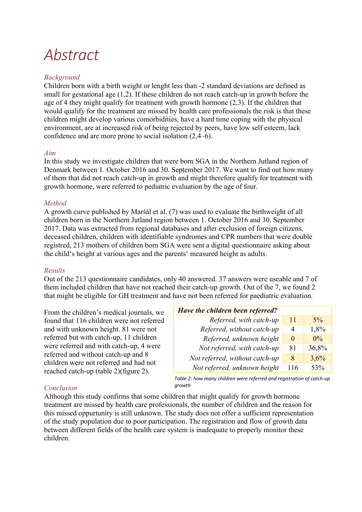# *Abstract*

#### *Background*

Children born with a birth weight or lenght less than -2 standard deviations are defined as small for gestational age (1,2). If these children do not reach catch-up in growth before the age of 4 they might qualify for treatment with growth hormone (2,3). If the children that would qualify for the treatment are missed by health care professionals the risk is that these children might develop various comorbidities, have a hard time coping with the physical environment, are at increased risk of being rejected by peers, have low self esteem, lack confidence and are more prone to social isolation (2,4–6).

#### *Aim*

In this study we investigate children that were born SGA in the Northern Jutland region of Denmark between 1. October 2016 and 30. September 2017. We want to find out how many of them that did not reach catch-up in growth and might therefore qualify for treatment with growth hormone, were referred to pediatric evaluation by the age of four.

#### *Method*

A growth curve published by Maršál et al. (7) was used to evaluate the birthweight of all children born in the Northern Jutland region between 1. October 2016 and 30. September 2017. Data was extracted from regional databases and after exclusion of foreign citizens, deceased children, children with identifiable syndromes and CPR numbers that were double registred, 213 mothers of children born SGA were sent a digital questionnaire asking about the child's height at various ages and the parents' measured height as adults.

#### *Results*

Out of the 213 questionnaire candidates, only 40 answered. 37 answers were useable and 7 of them included children that have not reached their catch-up growth. Out of the 7, we found 2 that might be eligible for GH treatment and have not been referred for paediatric evaluation.

From the children's medical journals, we found that 116 children were not referred and with unknown height. 81 were not referred but with catch-up, 11 children were referred and with catch-up, 4 were referred and without catch-up and 8 children were not referred and had not reached catch-up (table 2)(figure 2).

| Have the children been referred? |          |       |
|----------------------------------|----------|-------|
| Referred, with catch-up          | 11       | $5\%$ |
| Referred, without catch-up       | 4        | 1,8%  |
| Referred, unknown height         | $\Omega$ | $0\%$ |
| Not referred, with catch-up      | 81       | 36,8% |
| Not referred, without catch-up   | 8        | 3,6%  |
| Not referred, unknown height     | 116      | 53%   |

*Table 2: how many children were referred and registration of catch-up growth*

#### *Conclusion*

Although this study confirms that some children that might qualify for growth hormone treatment are missed by health care professionals, the number of children and the reason for this missed oppurtunity is still unknown. The study does not offer a sufficient representation of the study population due to poor participation. The registration and flow of growth data between different fields of the health care system is inadequate to properly monitor these children.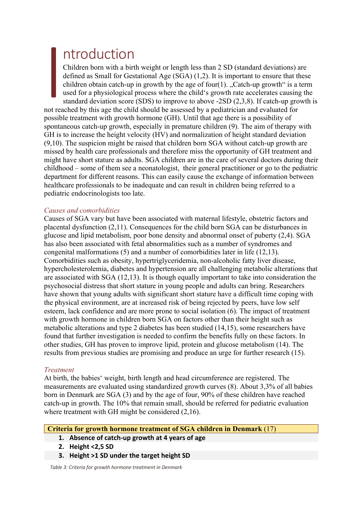## ntroduction

Children born with a birth weight or length less than 2 SD (standard deviations) are defined as Small for Gestational Age (SGA) (1,2). It is important to ensure that these children obtain catch-up in growth by the age of four(1). "Catch-up growth" is a term used for a physiological process where the child's growth rate accelerates causing the standard deviation score (SDS) to improve to above -2SD (2,3,8). If catch-up growth is not reached by this age the child should be assessed by a pediatrician and evaluated for possible treatment with growth hormone (GH). Until that age there is a possibility of spontaneous catch-up growth, especially in premature children (9). The aim of therapy with I

GH is to increase the height velocity (HV) and normalization of height standard deviation (9,10). The suspicion might be raised that children born SGA without catch-up growth are missed by health care professionals and therefore miss the opportunity of GH treatment and might have short stature as adults. SGA children are in the care of several doctors during their childhood – some of them see a neonatologist, their general practitioner or go to the pediatric department for different reasons. This can easily cause the exchange of information between healthcare professionals to be inadequate and can result in children being referred to a pediatric endocrinologists too late.

#### *Causes and comorbidities*

Causes of SGA vary but have been associated with maternal lifestyle, obstetric factors and placental dysfunction (2,11). Consequences for the child born SGA can be disturbances in glucose and lipid metabolism, poor bone density and abnormal onset of puberty (2,4). SGA has also been associated with fetal abnormalities such as a number of syndromes and congenital malformations (5) and a number of comorbidities later in life (12,13). Comorbidities such as obesity, hypertriglyceridemia, non-alcoholic fatty liver disease, hypercholesterolemia, diabetes and hypertension are all challenging metabolic alterations that are associated with SGA (12,13). It is though equally important to take into consideration the psychosocial distress that short stature in young people and adults can bring. Researchers have shown that young adults with significant short stature have a difficult time coping with the physical environment, are at increased risk of being rejected by peers, have low self esteem, lack confidence and are more prone to social isolation (6). The impact of treatment with growth hormone in children born SGA on factors other than their height such as metabolic alterations and type 2 diabetes has been studied (14,15), some researchers have found that further investigation is needed to confirm the benefits fully on these factors. In other studies, GH has proven to improve lipid, protein and glucose metabolism (14). The results from previous studies are promising and produce an urge for further research (15).

#### *Treatment*

At birth, the babies' weight, birth length and head circumference are registered. The measurements are evaluated using standardized growth curves (8). About 3,3% of all babies born in Denmark are SGA (3) and by the age of four, 90% of these children have reached catch-up in growth. The 10% that remain small, should be referred for pediatric evaluation where treatment with GH might be considered  $(2,16)$ .

#### **Criteria for growth hormone treatment of SGA children in Denmark** (17)

- **1. Absence of catch-up growth at 4 years of age**
- **2. Height <2,5 SD**
- **3. Height >1 SD under the target height SD**

*Table 3: Criteria for growth hormone treatment in Denmark*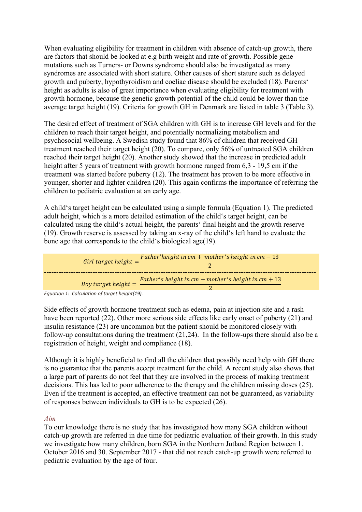When evaluating eligibility for treatment in children with absence of catch-up growth, there are factors that should be looked at e.g birth weight and rate of growth. Possible gene mutations such as Turners- or Downs syndrome should also be investigated as many syndromes are associated with short stature. Other causes of short stature such as delayed growth and puberty, hypothyroidism and coeliac disease should be excluded (18). Parents' height as adults is also of great importance when evaluating eligibility for treatment with growth hormone, because the genetic growth potential of the child could be lower than the average target height (19). Criteria for growth GH in Denmark are listed in table 3 (Table 3).

The desired effect of treatment of SGA children with GH is to increase GH levels and for the children to reach their target height, and potentially normalizing metabolism and psychosocial wellbeing. A Swedish study found that 86% of children that received GH treatment reached their target height (20). To compare, only 56% of untreated SGA children reached their target height (20). Another study showed that the increase in predicted adult height after 5 years of treatment with growth hormone ranged from 6,3 - 19,5 cm if the treatment was started before puberty (12). The treatment has proven to be more effective in younger, shorter and lighter children (20). This again confirms the importance of referring the children to pediatric evaluation at an early age.

A child's target height can be calculated using a simple formula (Equation 1). The predicted adult height, which is a more detailed estimation of the child's target height, can be calculated using the child's actual height, the parents' final height and the growth reserve (19). Growth reserve is assessed by taking an x-ray of the child's left hand to evaluate the bone age that corresponds to the child's biological age(19).



*Equation 1: Calculation of target height(19).*

Side effects of growth hormone treatment such as edema, pain at injection site and a rash have been reported (22). Other more serious side effects like early onset of puberty (21) and insulin resistance (23) are uncommon but the patient should be monitored closely with follow-up consultations during the treatment (21,24). In the follow-ups there should also be a registration of height, weight and compliance (18).

Although it is highly beneficial to find all the children that possibly need help with GH there is no guarantee that the parents accept treatment for the child. A recent study also shows that a large part of parents do not feel that they are involved in the process of making treatment decisions. This has led to poor adherence to the therapy and the children missing doses (25). Even if the treatment is accepted, an effective treatment can not be guaranteed, as variability of responses between individuals to GH is to be expected (26).

#### *Aim*

To our knowledge there is no study that has investigated how many SGA children without catch-up growth are referred in due time for pediatric evaluation of their growth. In this study we investigate how many children, born SGA in the Northern Jutland Region between 1. October 2016 and 30. September 2017 - that did not reach catch-up growth were referred to pediatric evaluation by the age of four.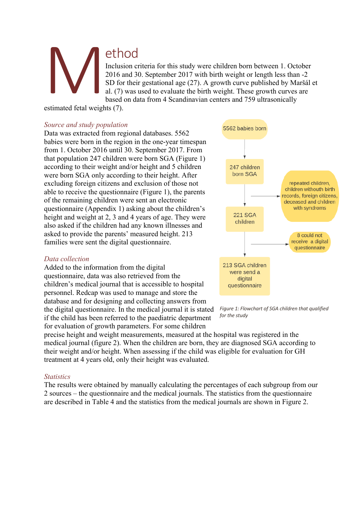## ethod

Inclusion criteria for this study were children born between 1. October 2016 and 30. September 2017 with birth weight or length less than -2 SD for their gestational age (27). A growth curve published by Maršál et al. (7) was used to evaluate the birth weight. These growth curves are based on data from 4 Scandinavian centers and 759 ultrasonically

estimated fetal weights (7). M<br>estimated fetal weight

#### *Source and study population*

Data was extracted from regional databases. 5562 babies were born in the region in the one-year timespan from 1. October 2016 until 30. September 2017. From that population 247 children were born SGA (Figure 1) according to their weight and/or height and 5 children were born SGA only according to their height. After excluding foreign citizens and exclusion of those not able to receive the questionnaire (Figure 1), the parents of the remaining children were sent an electronic questionnaire (Appendix 1) asking about the children's height and weight at 2, 3 and 4 years of age. They were also asked if the children had any known illnesses and asked to provide the parents' measured height. 213 families were sent the digital questionnaire.

#### *Data collection*

Added to the information from the digital questionnaire, data was also retrieved from the children's medical journal that is accessible to hospital personnel. Redcap was used to manage and store the database and for designing and collecting answers from the digital questionnaire. In the medical journal it is stated if the child has been referred to the paediatric department for evaluation of growth parameters. For some children



*Figure 1: Flowchart of SGA children that qualified for the study*

precise height and weight measurements, measured at the hospital was registered in the medical journal (figure 2). When the children are born, they are diagnosed SGA according to their weight and/or height. When assessing if the child was eligible for evaluation for GH treatment at 4 years old, only their height was evaluated.

#### *Statistics*

The results were obtained by manually calculating the percentages of each subgroup from our 2 sources – the questionnaire and the medical journals. The statistics from the questionnaire are described in Table 4 and the statistics from the medical journals are shown in Figure 2.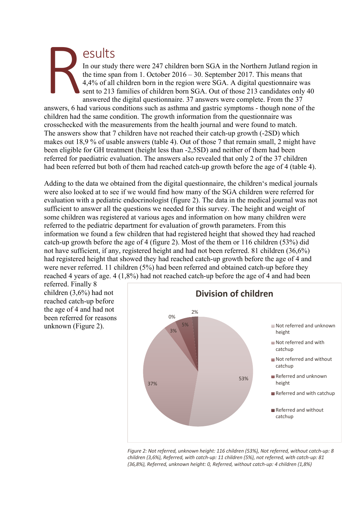#### esults In our study there were 247 children born SGA in the Northern Jutland region in the time span from 1. October 2016 – 30. September 2017. This means that 4,4% of all children born in the region were SGA. A digital questionnaire was sent to 213 families of children born SGA. Out of those 213 candidates only 40 answered the digital questionnaire. 37 answers were complete. From the 37 R

answers, 6 had various conditions such as asthma and gastric symptoms - though none of the children had the same condition. The growth information from the questionnaire was crosschecked with the measurements from the health journal and were found to match. The answers show that 7 children have not reached their catch-up growth (-2SD) which makes out 18,9 % of usable answers (table 4). Out of those 7 that remain small, 2 might have been eligible for GH treatment (height less than -2,5SD) and neither of them had been referred for paediatric evaluation. The answers also revealed that only 2 of the 37 children had been referred but both of them had reached catch-up growth before the age of 4 (table 4).

Adding to the data we obtained from the digital questionnaire, the children's medical journals were also looked at to see if we would find how many of the SGA children were referred for evaluation with a pediatric endocrinologist (figure 2). The data in the medical journal was not sufficient to answer all the questions we needed for this survey. The height and weight of some children was registered at various ages and information on how many children were referred to the pediatric department for evaluation of growth parameters. From this information we found a few children that had registered height that showed they had reached catch-up growth before the age of 4 (figure 2). Most of the them or 116 children (53%) did not have sufficient, if any, registered height and had not been referred. 81 children (36,6%) had registered height that showed they had reached catch-up growth before the age of 4 and were never referred. 11 children (5%) had been referred and obtained catch-up before they reached 4 years of age. 4 (1,8%) had not reached catch-up before the age of 4 and had been

referred. Finally 8 children (3,6%) had not reached catch-up before the age of 4 and had not been referred for reasons unknown (Figure 2).



*Figure 2: Not referred, unknown height: 116 children (53%), Not referred, without catch-up: 8 children (3,6%), Referred, with catch-up: 11 children (5%), not referred, with catch-up: 81 (36,8%), Referred, unknown height: 0, Referred, without catch-up: 4 children (1,8%)*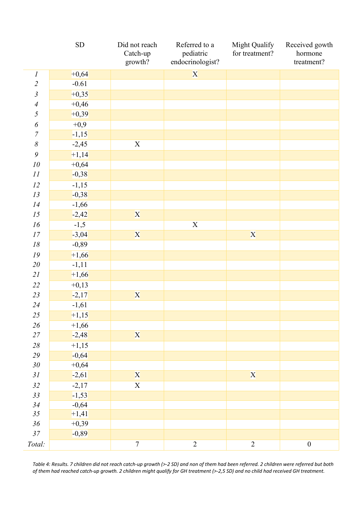|                       | ${\rm SD}$ | Did not reach<br>Catch-up<br>growth? | Referred to a<br>pediatric<br>endocrinologist? | Might Qualify<br>for treatment? | Received gowth<br>hormone<br>treatment? |
|-----------------------|------------|--------------------------------------|------------------------------------------------|---------------------------------|-----------------------------------------|
| $\cal I$              | $+0,64$    |                                      | X                                              |                                 |                                         |
| $\overline{2}$        | $-0.61$    |                                      |                                                |                                 |                                         |
| $\mathfrak{Z}$        | $+0,35$    |                                      |                                                |                                 |                                         |
| $\overline{4}$        | $+0,46$    |                                      |                                                |                                 |                                         |
| 5                     | $+0,39$    |                                      |                                                |                                 |                                         |
| $\boldsymbol{\delta}$ | $+0,9$     |                                      |                                                |                                 |                                         |
| $\sqrt{ }$            | $-1,15$    |                                      |                                                |                                 |                                         |
| $\delta$              | $-2,45$    | $\mathbf X$                          |                                                |                                 |                                         |
| $\mathfrak g$         | $+1,14$    |                                      |                                                |                                 |                                         |
| 10                    | $+0,64$    |                                      |                                                |                                 |                                         |
| 11                    | $-0,38$    |                                      |                                                |                                 |                                         |
| 12                    | $-1,15$    |                                      |                                                |                                 |                                         |
| 13                    | $-0,38$    |                                      |                                                |                                 |                                         |
| 14                    | $-1,66$    |                                      |                                                |                                 |                                         |
| 15                    | $-2,42$    | X                                    |                                                |                                 |                                         |
| 16                    | $-1,5$     |                                      | $\mathbf X$                                    |                                 |                                         |
| 17                    | $-3,04$    | X                                    |                                                | X                               |                                         |
| $18\,$                | $-0,89$    |                                      |                                                |                                 |                                         |
| 19                    | $+1,66$    |                                      |                                                |                                 |                                         |
| 20                    | $-1,11$    |                                      |                                                |                                 |                                         |
| 21                    | $+1,66$    |                                      |                                                |                                 |                                         |
| 22                    | $+0,13$    |                                      |                                                |                                 |                                         |
| 23                    | $-2,17$    | X                                    |                                                |                                 |                                         |
| 24                    | $-1,61$    |                                      |                                                |                                 |                                         |
| 25                    | $+1,15$    |                                      |                                                |                                 |                                         |
| $26\,$                | $+1,66$    |                                      |                                                |                                 |                                         |
| $27\,$                | $-2,48$    | X                                    |                                                |                                 |                                         |
| $28\,$                | $+1,15$    |                                      |                                                |                                 |                                         |
| 29                    | $-0,64$    |                                      |                                                |                                 |                                         |
| $30\,$                | $+0,64$    |                                      |                                                |                                 |                                         |
| 31                    | $-2,61$    | X                                    |                                                | X                               |                                         |
| 32                    | $-2,17$    | $\overline{\textbf{X}}$              |                                                |                                 |                                         |
| 33                    | $-1,53$    |                                      |                                                |                                 |                                         |
| 34                    | $-0,64$    |                                      |                                                |                                 |                                         |
| 35                    | $+1,41$    |                                      |                                                |                                 |                                         |
| $36\,$                | $+0,39$    |                                      |                                                |                                 |                                         |
| $37\,$                | $-0,89$    |                                      |                                                |                                 |                                         |
| Total:                |            | $\boldsymbol{7}$                     | $\sqrt{2}$                                     | $\mathbf{2}$                    | $\boldsymbol{0}$                        |

*Table 4: Results. 7 children did not reach catch-up growth (>-2 SD) and non of them had been referred. 2 children were referred but both of them had reached catch-up growth. 2 children might qualify for GH treatment (>-2,5 SD) and no child had received GH treatment.*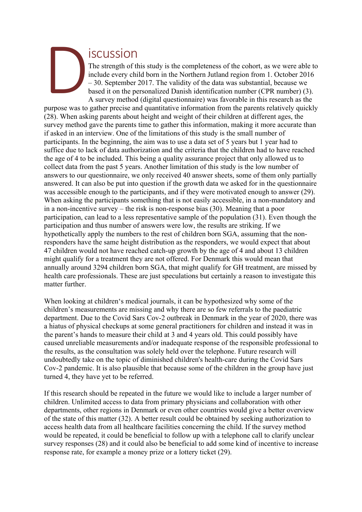## iscussion

The strength of this study is the completeness of the cohort, as we were able to include every child born in the Northern Jutland region from 1. October 2016 – 30. September 2017. The validity of the data was substantial, because we based it on the personalized Danish identification number (CPR number) (3). A survey method (digital questionnaire) was favorable in this research as the

purpose was to gather precise and quantitative information from the parents relatively quickly (28). When asking parents about height and weight of their children at different ages, the survey method gave the parents time to gather this information, making it more accurate than if asked in an interview. One of the limitations of this study is the small number of participants. In the beginning, the aim was to use a data set of 5 years but 1 year had to suffice due to lack of data authorization and the criteria that the children had to have reached the age of 4 to be included. This being a quality assurance project that only allowed us to collect data from the past 5 years. Another limitation of this study is the low number of answers to our questionnaire, we only received 40 answer sheets, some of them only partially answered. It can also be put into question if the growth data we asked for in the questionnaire was accessible enough to the participants, and if they were motivated enough to answer (29). When asking the participants something that is not easily accessible, in a non-mandatory and in a non-incentive survey – the risk is non-response bias (30). Meaning that a poor participation, can lead to a less representative sample of the population (31). Even though the participation and thus number of answers were low, the results are striking. If we hypothetically apply the numbers to the rest of children born SGA, assuming that the nonresponders have the same height distribution as the responders, we would expect that about 47 children would not have reached catch-up growth by the age of 4 and about 13 children might qualify for a treatment they are not offered. For Denmark this would mean that annually around 3294 children born SGA, that might qualify for GH treatment, are missed by health care professionals. These are just speculations but certainly a reason to investigate this matter further. purpose was to

When looking at children's medical journals, it can be hypothesized why some of the children's measurements are missing and why there are so few referrals to the paediatric department. Due to the Covid Sars Cov-2 outbreak in Denmark in the year of 2020, there was a hiatus of physical checkups at some general practitioners for children and instead it was in the parent's hands to measure their child at 3 and 4 years old. This could possibly have caused unreliable measurements and/or inadequate response of the responsible professional to the results, as the consultation was solely held over the telephone. Future research will undoubtedly take on the topic of diminished children's health-care during the Covid Sars Cov-2 pandemic. It is also plausible that because some of the children in the group have just turned 4, they have yet to be referred.

If this research should be repeated in the future we would like to include a larger number of children. Unlimited access to data from primary physicians and collaboration with other departments, other regions in Denmark or even other countries would give a better overview of the state of this matter (32). A better result could be obtained by seeking authorization to access health data from all healthcare facilities concerning the child. If the survey method would be repeated, it could be beneficial to follow up with a telephone call to clarify unclear survey responses (28) and it could also be beneficial to add some kind of incentive to increase response rate, for example a money prize or a lottery ticket (29).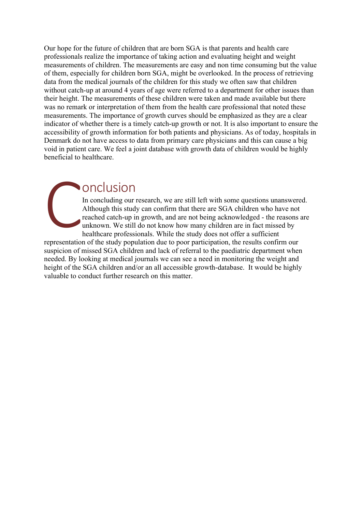Our hope for the future of children that are born SGA is that parents and health care professionals realize the importance of taking action and evaluating height and weight measurements of children. The measurements are easy and non time consuming but the value of them, especially for children born SGA, might be overlooked. In the process of retrieving data from the medical journals of the children for this study we often saw that children without catch-up at around 4 years of age were referred to a department for other issues than their height. The measurements of these children were taken and made available but there was no remark or interpretation of them from the health care professional that noted these measurements. The importance of growth curves should be emphasized as they are a clear indicator of whether there is a timely catch-up growth or not. It is also important to ensure the accessibility of growth information for both patients and physicians. As of today, hospitals in Denmark do not have access to data from primary care physicians and this can cause a big void in patient care. We feel a joint database with growth data of children would be highly beneficial to healthcare.

## onclusion

In concluding our research, we are still left with some questions unanswered. Although this study can confirm that there are SGA children who have not reached catch-up in growth, and are not being acknowledged - the reasons are unknown. We still do not know how many children are in fact missed by healthcare professionals. While the study does not offer a sufficient

representation of the study population due to poor participation, the results confirm our suspicion of missed SGA children and lack of referral to the paediatric department when needed. By looking at medical journals we can see a need in monitoring the weight and height of the SGA children and/or an all accessible growth-database. It would be highly valuable to conduct further research on this matter. **CONTRACTE**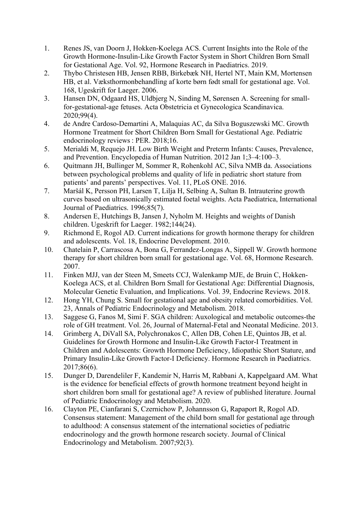- 1. Renes JS, van Doorn J, Hokken-Koelega ACS. Current Insights into the Role of the Growth Hormone-Insulin-Like Growth Factor System in Short Children Born Small for Gestational Age. Vol. 92, Hormone Research in Paediatrics. 2019.
- 2. Thybo Christesen HB, Jensen RBB, Birkebæk NH, Hertel NT, Main KM, Mortensen HB, et al. Væksthormonbehandling af korte børn født small for gestational age. Vol. 168, Ugeskrift for Laeger. 2006.
- 3. Hansen DN, Odgaard HS, Uldbjerg N, Sinding M, Sørensen A. Screening for smallfor-gestational-age fetuses. Acta Obstetricia et Gynecologica Scandinavica. 2020;99(4).
- 4. de Andre Cardoso-Demartini A, Malaquias AC, da Silva Boguszewski MC. Growth Hormone Treatment for Short Children Born Small for Gestational Age. Pediatric endocrinology reviews : PER. 2018;16.
- 5. Merialdi M, Requejo JH. Low Birth Weight and Preterm Infants: Causes, Prevalence, and Prevention. Encyclopedia of Human Nutrition. 2012 Jan 1;3–4:100–3.
- 6. Quitmann JH, Bullinger M, Sommer R, Rohenkohl AC, Silva NMB da. Associations between psychological problems and quality of life in pediatric short stature from patients' and parents' perspectives. Vol. 11, PLoS ONE. 2016.
- 7. Maršál K, Persson PH, Larsen T, Lilja H, Selbing A, Sultan B. Intrauterine growth curves based on ultrasonically estimated foetal weights. Acta Paediatrica, International Journal of Paediatrics. 1996;85(7).
- 8. Andersen E, Hutchings B, Jansen J, Nyholm M. Heights and weights of Danish children. Ugeskrift for Laeger. 1982;144(24).
- 9. Richmond E, Rogol AD. Current indications for growth hormone therapy for children and adolescents. Vol. 18, Endocrine Development. 2010.
- 10. Chatelain P, Carrascosa A, Bona G, Ferrandez-Longas A, Sippell W. Growth hormone therapy for short children born small for gestational age. Vol. 68, Hormone Research. 2007.
- 11. Finken MJJ, van der Steen M, Smeets CCJ, Walenkamp MJE, de Bruin C, Hokken-Koelega ACS, et al. Children Born Small for Gestational Age: Differential Diagnosis, Molecular Genetic Evaluation, and Implications. Vol. 39, Endocrine Reviews. 2018.
- 12. Hong YH, Chung S. Small for gestational age and obesity related comorbidities. Vol. 23, Annals of Pediatric Endocrinology and Metabolism. 2018.
- 13. Saggese G, Fanos M, Simi F. SGA children: Auxological and metabolic outcomes-the role of GH treatment. Vol. 26, Journal of Maternal-Fetal and Neonatal Medicine. 2013.
- 14. Grimberg A, DiVall SA, Polychronakos C, Allen DB, Cohen LE, Quintos JB, et al. Guidelines for Growth Hormone and Insulin-Like Growth Factor-I Treatment in Children and Adolescents: Growth Hormone Deficiency, Idiopathic Short Stature, and Primary Insulin-Like Growth Factor-I Deficiency. Hormone Research in Paediatrics. 2017;86(6).
- 15. Dunger D, Darendeliler F, Kandemir N, Harris M, Rabbani A, Kappelgaard AM. What is the evidence for beneficial effects of growth hormone treatment beyond height in short children born small for gestational age? A review of published literature. Journal of Pediatric Endocrinology and Metabolism. 2020.
- 16. Clayton PE, Cianfarani S, Czernichow P, Johannsson G, Rapaport R, Rogol AD. Consensus statement: Management of the child born small for gestational age through to adulthood: A consensus statement of the international societies of pediatric endocrinology and the growth hormone research society. Journal of Clinical Endocrinology and Metabolism. 2007;92(3).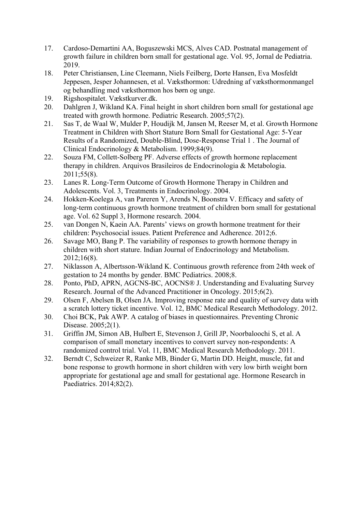- 17. Cardoso-Demartini AA, Boguszewski MCS, Alves CAD. Postnatal management of growth failure in children born small for gestational age. Vol. 95, Jornal de Pediatria. 2019.
- 18. Peter Christiansen, Line Cleemann, Niels Feilberg, Dorte Hansen, Eva Mosfeldt Jeppesen, Jesper Johannesen, et al. Væksthormon: Udredning af væksthormonmangel og behandling med væksthormon hos børn og unge.
- 19. Rigshospitalet. Vækstkurver.dk.
- 20. Dahlgren J, Wikland KA. Final height in short children born small for gestational age treated with growth hormone. Pediatric Research. 2005;57(2).
- 21. Sas T, de Waal W, Mulder P, Houdijk M, Jansen M, Reeser M, et al. Growth Hormone Treatment in Children with Short Stature Born Small for Gestational Age: 5-Year Results of a Randomized, Double-Blind, Dose-Response Trial 1 . The Journal of Clinical Endocrinology & Metabolism. 1999;84(9).
- 22. Souza FM, Collett-Solberg PF. Adverse effects of growth hormone replacement therapy in children. Arquivos Brasileiros de Endocrinologia & Metabologia. 2011;55(8).
- 23. Lanes R. Long-Term Outcome of Growth Hormone Therapy in Children and Adolescents. Vol. 3, Treatments in Endocrinology. 2004.
- 24. Hokken-Koelega A, van Pareren Y, Arends N, Boonstra V. Efficacy and safety of long-term continuous growth hormone treatment of children born small for gestational age. Vol. 62 Suppl 3, Hormone research. 2004.
- 25. van Dongen N, Kaein AA. Parents' views on growth hormone treatment for their children: Psychosocial issues. Patient Preference and Adherence. 2012;6.
- 26. Savage MO, Bang P. The variability of responses to growth hormone therapy in children with short stature. Indian Journal of Endocrinology and Metabolism. 2012;16(8).
- 27. Niklasson A, Albertsson-Wikland K. Continuous growth reference from 24th week of gestation to 24 months by gender. BMC Pediatrics. 2008;8.
- 28. Ponto, PhD, APRN, AGCNS-BC, AOCNS® J. Understanding and Evaluating Survey Research. Journal of the Advanced Practitioner in Oncology. 2015;6(2).
- 29. Olsen F, Abelsen B, Olsen JA. Improving response rate and quality of survey data with a scratch lottery ticket incentive. Vol. 12, BMC Medical Research Methodology. 2012.
- 30. Choi BCK, Pak AWP. A catalog of biases in questionnaires. Preventing Chronic Disease. 2005;2(1).
- 31. Griffin JM, Simon AB, Hulbert E, Stevenson J, Grill JP, Noorbaloochi S, et al. A comparison of small monetary incentives to convert survey non-respondents: A randomized control trial. Vol. 11, BMC Medical Research Methodology. 2011.
- 32. Berndt C, Schweizer R, Ranke MB, Binder G, Martin DD. Height, muscle, fat and bone response to growth hormone in short children with very low birth weight born appropriate for gestational age and small for gestational age. Hormone Research in Paediatrics. 2014;82(2).